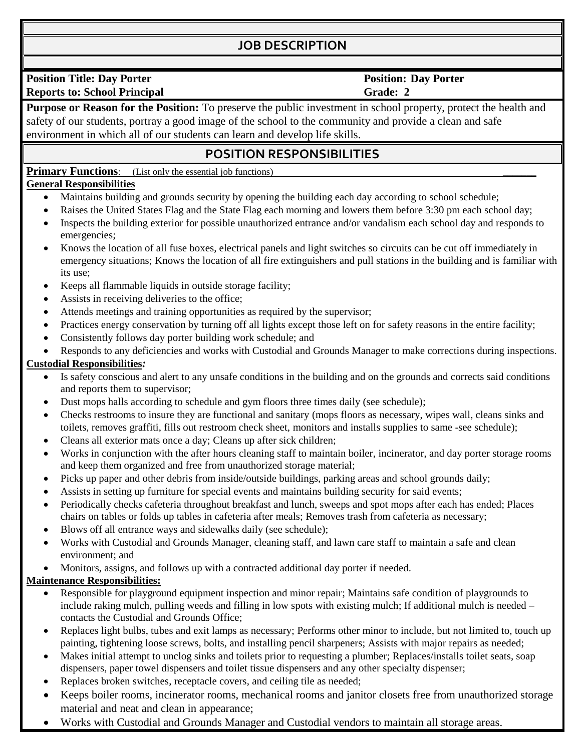# **JOB DESCRIPTION**

**Position Title: Day Porter Reports to: School Principal** 

#### **Position: Day Porter Grade: 2**

**Purpose or Reason for the Position:** To preserve the public investment in school property, protect the health and safety of our students, portray a good image of the school to the community and provide a clean and safe environment in which all of our students can learn and develop life skills.

## **POSITION RESPONSIBILITIES**

**Primary Functions:** (List only the essential job functions)

## **General Responsibilities**

- Maintains building and grounds security by opening the building each day according to school schedule;
- Raises the United States Flag and the State Flag each morning and lowers them before 3:30 pm each school day;
- Inspects the building exterior for possible unauthorized entrance and/or vandalism each school day and responds to emergencies;
- Knows the location of all fuse boxes, electrical panels and light switches so circuits can be cut off immediately in emergency situations; Knows the location of all fire extinguishers and pull stations in the building and is familiar with its use;
- Keeps all flammable liquids in outside storage facility;
- Assists in receiving deliveries to the office;
- Attends meetings and training opportunities as required by the supervisor;
- Practices energy conservation by turning off all lights except those left on for safety reasons in the entire facility;
- Consistently follows day porter building work schedule; and
- Responds to any deficiencies and works with Custodial and Grounds Manager to make corrections during inspections.

#### **Custodial Responsibilities***:*

- Is safety conscious and alert to any unsafe conditions in the building and on the grounds and corrects said conditions and reports them to supervisor;
- Dust mops halls according to schedule and gym floors three times daily (see schedule);
- Checks restrooms to insure they are functional and sanitary (mops floors as necessary, wipes wall, cleans sinks and toilets, removes graffiti, fills out restroom check sheet, monitors and installs supplies to same -see schedule);
- Cleans all exterior mats once a day; Cleans up after sick children;
- Works in conjunction with the after hours cleaning staff to maintain boiler, incinerator, and day porter storage rooms and keep them organized and free from unauthorized storage material;
- Picks up paper and other debris from inside/outside buildings, parking areas and school grounds daily;
- Assists in setting up furniture for special events and maintains building security for said events;
- Periodically checks cafeteria throughout breakfast and lunch, sweeps and spot mops after each has ended; Places chairs on tables or folds up tables in cafeteria after meals; Removes trash from cafeteria as necessary;
- Blows off all entrance ways and sidewalks daily (see schedule);
- Works with Custodial and Grounds Manager, cleaning staff, and lawn care staff to maintain a safe and clean environment; and
- Monitors, assigns, and follows up with a contracted additional day porter if needed.

### **Maintenance Responsibilities:**

- Responsible for playground equipment inspection and minor repair; Maintains safe condition of playgrounds to include raking mulch, pulling weeds and filling in low spots with existing mulch; If additional mulch is needed – contacts the Custodial and Grounds Office;
- Replaces light bulbs, tubes and exit lamps as necessary; Performs other minor to include, but not limited to, touch up painting, tightening loose screws, bolts, and installing pencil sharpeners; Assists with major repairs as needed;
- Makes initial attempt to unclog sinks and toilets prior to requesting a plumber; Replaces/installs toilet seats, soap dispensers, paper towel dispensers and toilet tissue dispensers and any other specialty dispenser;
- Replaces broken switches, receptacle covers, and ceiling tile as needed;
- Keeps boiler rooms, incinerator rooms, mechanical rooms and janitor closets free from unauthorized storage material and neat and clean in appearance;
- Works with Custodial and Grounds Manager and Custodial vendors to maintain all storage areas.